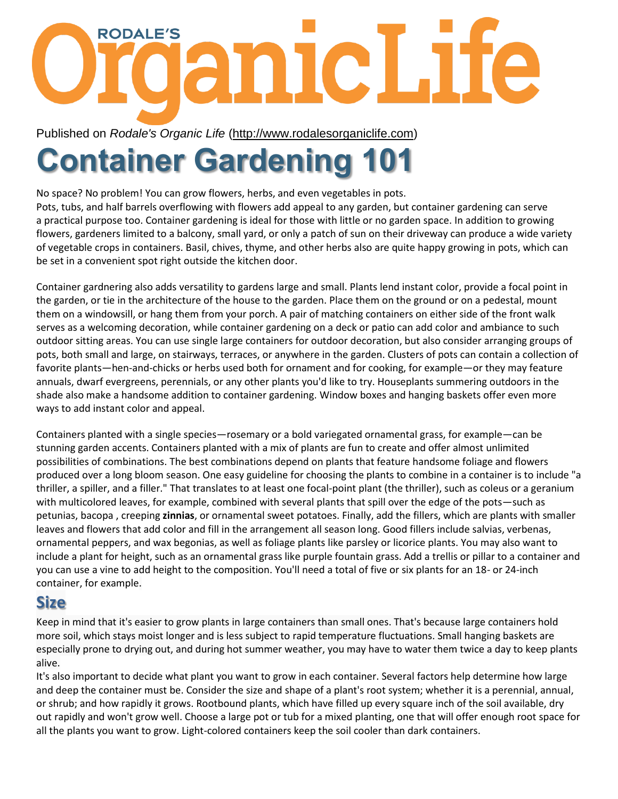# **RODALE'S** micL

Published on *Rodale's Organic Life* [\(http://www.rodalesorganiclife.com\)](http://www.rodalesorganiclife.com/)

# **Container Gardening**

No space? No problem! You can grow flowers, herbs, and even vegetables in pots. Pots, tubs, and half barrels overflowing with flowers add appeal to any garden, but container gardening can serve a practical purpose too. Container gardening is ideal for those with little or no garden space. In addition to growing flowers, gardeners limited to a balcony, small yard, or only a patch of sun on their driveway can produce a wide variety of vegetable crops in containers. [Basil,](https://www.rodalesorganiclife.com/node/15286) [chives,](https://www.rodalesorganiclife.com/node/20276) [thyme,](https://www.rodalesorganiclife.com/node/20451) and other herbs also are quite happy growing in pots, which can be set in a convenient spot right outside the kitchen door.

Container gardnering also adds versatility to gardens large and small. Plants lend instant color, provide a focal point in the garden, or tie in the architecture of the house to the garden. Place them on the ground or on a pedestal, mount them on a windowsill, or hang them from your porch. A pair of matching containers on either side of the front walk serves as a welcoming decoration, while container gardening on a deck or patio can add color and ambiance to such outdoor sitting areas. You can use single large containers for outdoor decoration, but also consider arranging groups of pots, both small and large, on stairways, terraces, or anywhere in the garden. Clusters of pots can contain a collection of favorite plants—hen-and-chicks or herbs used both for ornament and for cooking, for example—or they may feature annuals, dwarf evergreens, perennials, or any other plants you'd like to try. Houseplants summering outdoors in the shade also make a handsome addition to container gardening. Window boxes and hanging baskets offer even more ways to add instant color and appeal.

Containers planted with a single species—rosemary or a bold variegated ornamental grass, for example—can be stunning garden accents. Containers planted with a mix of plants are fun to create and offer almost unlimited possibilities of combinations. The best combinations depend on plants that feature handsome foliage and flowers produced over a long bloom season. One easy guideline for choosing the plants to combine in a container is to include "a thriller, a spiller, and a filler." That translates to at least one focal-point plant (the thriller), such as coleus or a geranium with multicolored leaves, for example, combined with several plants that spill over the edge of the pots—such as petunias, bacopa , creeping **zinnias**, or ornamental sweet potatoes. Finally, add the fillers, which are plants with smaller leaves and flowers that add color and fill in the arrangement all season long. Good fillers include salvias, verbenas, ornamental peppers, and wax begonias, as well as foliage plants like parsley or licorice plants. You may also want to include a plant for height, such as an ornamental grass like purple fountain grass. Add a trellis or pillar to a container and you can use a vine to add height to the composition. You'll need a total of five or six plants for an 18- or 24-inch container, for example.

#### **Size**

Keep in mind that it's easier to grow plants in large containers than small ones. That's because large containers hold more soil, which stays moist longer and is less subject to rapid temperature fluctuations. Small hanging baskets are especially prone to drying out, and during hot summer weather, you may have to water them twice a day to keep plants alive.

It's also important to decide what plant you want to grow in each container. Several factors help determine how large and deep the container must be. Consider the size and [shape](http://www.fitin10bellyfix.com/pt?keycode=259203&utm_source=ROL&utm_medium=Web&utm_campaign=vigShape) of a plant's root system; whether it is a perennial, annual, or shrub; and how rapidly it grows. Rootbound plants, which have filled up every square inch of the soil available, dry out rapidly and won't grow well. Choose a large pot or tub for a mixed planting, one that will offer enough root space for all the plants you want to grow. Light-colored containers keep the soil cooler than dark containers.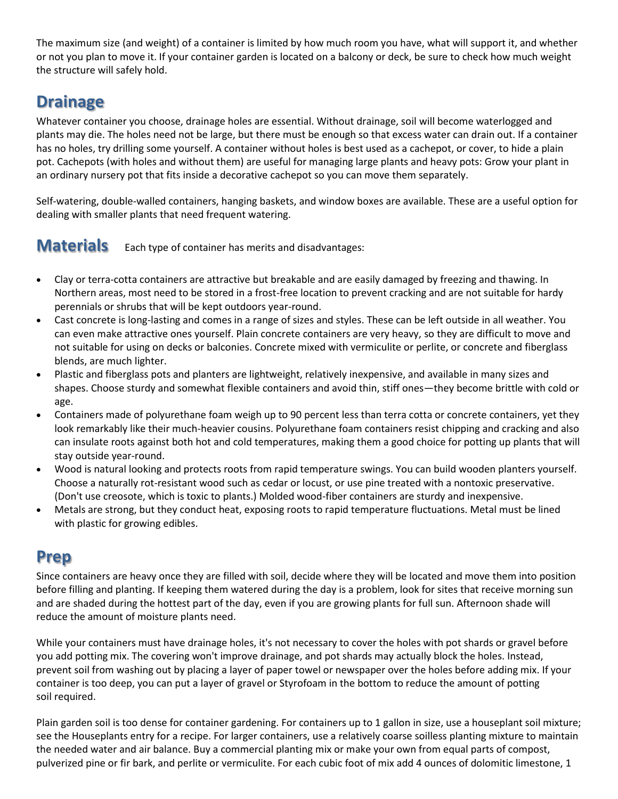The maximum size (and weight) of a container is limited by how much room you have, what will support it, and whether or not you plan to move it. If your container garden is located on a balcony or deck, be sure to check how much weight the structure will safely hold.

#### **Drainage**

Whatever container you choose, drainage holes are essential. Without drainage, soil will become waterlogged and plants may die. The holes need not be large, but there must be enough so that excess water can drain out. If a container has no holes, try drilling some yourself. A container without holes is best used as a cachepot, or cover, to hide a plain pot. Cachepots (with holes and without them) are useful for managing large plants and heavy pots: Grow your plant in an ordinary nursery pot that fits inside a decorative cachepot so you can move them separately.

Self-watering, double-walled containers, hanging baskets, and window boxes are available. These are a useful option for dealing with smaller plants that need frequent watering.

**Materials** Each type of container has merits and disadvantages:

- Clay or terra-cotta containers are attractive but breakable and are easily damaged by freezing and thawing. In Northern areas, most need to be stored in a frost-free location to prevent cracking and are not suitable for hardy perennials or shrubs that will be kept outdoors year-round.
- Cast concrete is long-lasting and comes in a range of sizes and styles. These can be left outside in all weather. You can even make attractive ones yourself. Plain concrete containers are very heavy, so they are difficult to move and not suitable for using on decks or balconies. Concrete mixed with vermiculite or perlite, or concrete and fiberglass blends, are much lighter.
- Plastic and fiberglass pots and planters are lightweight, relatively inexpensive, and available in many sizes and shapes. Choose sturdy and somewhat flexible containers and avoid thin, stiff ones—they become brittle with cold or age.
- Containers made of polyurethane foam weigh up to 90 percent less than terra cotta or concrete containers, yet they look remarkably like their much-heavier cousins. Polyurethane foam containers resist chipping and cracking and also can insulate roots against both hot and cold temperatures, making them a good choice for potting up plants that will stay outside year-round.
- Wood is natural looking and protects roots from rapid temperature swings. You can build wooden planters yourself. Choose a naturally rot-resistant wood such as cedar or locust, or use pine treated with a nontoxic preservative. (Don't use creosote, which is toxic to plants.) Molded wood-fiber containers are sturdy and inexpensive.
- Metals are strong, but they conduct heat, exposing roots to rapid temperature fluctuations. Metal must be lined with plastic for growing edibles.

### **Prep**

Since containers are heavy once they are filled with soil, decide where they will be located and move them into position before filling and planting. If keeping them watered during the day is a problem, look for sites that receive morning sun and are shaded during the hottest part of the day, even if you are growing plants for full sun. Afternoon shade will reduce the amount of moisture plants need.

While your containers must have drainage holes, it's not necessary to cover the holes with pot shards or gravel before you add potting mix. The covering won't improve drainage, and pot shards may actually block the holes. Instead, prevent soil from washing out by placing a layer of paper towel or newspaper over the holes before adding mix. If your container is too deep, you can put a layer of gravel or Styrofoam in the bottom to reduce the amount of potting soil required.

Plain garden [soil](https://www.rodalesorganiclife.com/node/16626) is too dense for container gardening. For containers up to 1 gallon in size, use a houseplant soil mixture; see the Houseplants entry for a recipe. For larger containers, use a relatively coarse soilless planting mixture to maintain the needed water and air balance. Buy a commercial planting mix or make your own from equal parts of compost, pulverized pine or fir bark, and perlite or vermiculite. For each cubic foot of mix add 4 ounces of dolomitic limestone, 1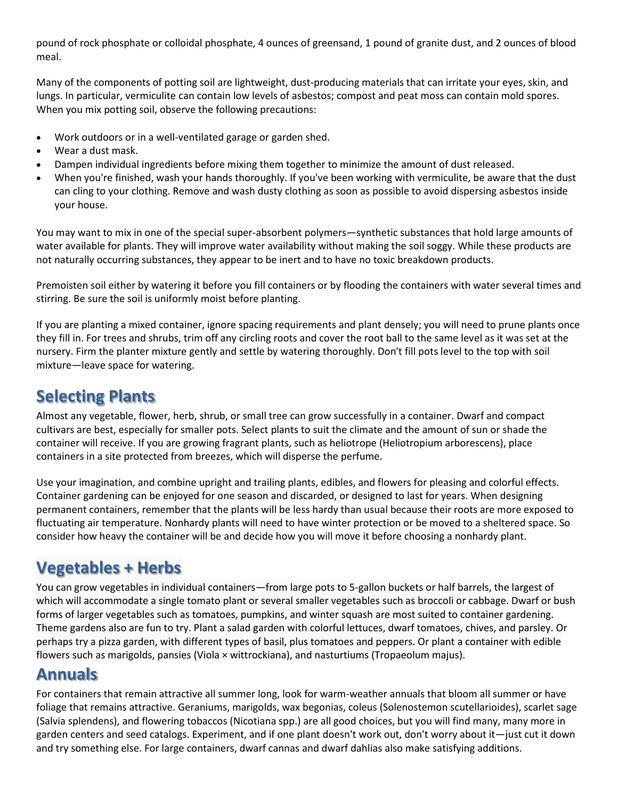pound of rock phosphate or colloidal phosphate, 4 ounces of greensand, 1 pound of granite dust, and 2 ounces of blood meal.

Many of the components of potting soil are lightweight, dust-producing materials that can irritate your eyes, skin, and lungs. In particular, vermiculite can contain low levels of asbestos; compost and peat moss can contain mold spores. When you mix potting soil, observe the following precautions:

- Work outdoors or in a well-ventilated garage or garden shed.
- Wear a dust mask.
- Dampen individual ingredients before mixing them together to minimize the amount of dust released.
- When you're finished, wash your hands thoroughly. If you've been working with vermiculite, be aware that the dust can cling to your clothing. Remove and wash dusty clothing as soon as possible to avoid dispersing asbestos inside your house.

You may want to mix in one of the special super-absorbent polymers—synthetic substances that hold large amounts of water available for plants. They will improve water availability without making the soil soggy. While these products are not naturally occurring substances, they appear to be inert and to have no toxic breakdown products.

Premoisten soil either by watering it before you fill containers or by flooding the containers with water several times and stirring. Be sure the soil is uniformly moist before planting.

If you are planting a mixed container, ignore spacing requirements and plant densely; you will need to prune plants once they fill in. For trees and shrubs, trim off any circling roots and cover the root ball to the same level as it was set at the nursery. Firm the planter mixture gently and settle by watering thoroughly. Don't fill pots level to the top with soil mixture—leave space for watering.

## **Selecting Plants**

Almost any vegetable, flower, herb, shrub, or small tree can grow successfully in a container. Dwarf and compact cultivars are best, especially for smaller pots. Select plants to suit the climate and the amount of sun or shade the container will receive. If you are growing fragrant plants, such as heliotrope (Heliotropium arborescens), place containers in a site protected from breezes, which will disperse the perfume.

Use your imagination, and combine upright and trailing plants, edibles, and flowers for pleasing and colorful effects. Container gardening can be enjoyed for one season and discarded, or designed to last for years. When designing permanent containers, remember that the plants will be less hardy than usual because their roots are more exposed to fluctuating air temperature. Nonhardy plants will need to have winter protection or be moved to a sheltered space. So consider how heavy the container will be and decide how you will move it before choosing a nonhardy plant.

### **Vegetables + Herbs**

You can grow vegetables in individual containers—from large pots to 5-gallon buckets or half barrels, the largest of which will accommodate a single tomato plant or several smaller vegetables such as broccoli or cabbage. Dwarf or bush forms of larger vegetables such as tomatoes, pumpkins, and winter squash are most suited to container gardening. Theme gardens also are fun to try. Plant a salad garden with colorful lettuces, dwarf tomatoes, chives, and parsley. Or perhaps try a pizza garden, with different types of basil, plus tomatoes and peppers. Or plant a container with edible flowers such as marigolds, pansies (Viola × wittrockiana), and nasturtiums (Tropaeolum majus).

#### **[Annuals](https://www.rodalesorganiclife.com/node/15741)**

For containers that remain attractive all summer long, look for warm-weather annuals that bloom all summer or have foliage that remains attractive. Geraniums, marigolds, wax begonias, coleus (Solenostemon scutellarioides), scarlet sage (Salvia splendens), and flowering tobaccos (Nicotiana spp.) are all good choices, but you will find many, many more in garden centers and seed catalogs. Experiment, and if one plant doesn't work out, don't worry about it—just cut it down and try something else. For large containers, dwarf cannas and dwarf dahlias also make satisfying additions.